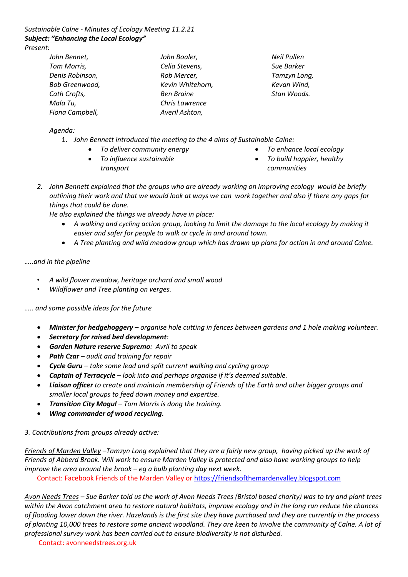# *Sustainable Calne - Minutes of Ecology Meeting 11.2.21*

# *Subject: "Enhancing the Local Ecology"*

*Present:* 

| John Bennet,    |  |
|-----------------|--|
| Tom Morris,     |  |
| Denis Robinson, |  |
| Bob Greenwood,  |  |
| Cath Crofts,    |  |
| Mala Tu,        |  |
| Fiona Campbell, |  |

*John Boaler, Celia Stevens, Rob Mercer, Kevin Whitehorn, Ben Braine Chris Lawrence Averil Ashton,* 

*Neil Pullen Sue Barker Tamzyn Long, Kevan Wind, Stan Woods.* 

*Agenda:*

- 1. *John Bennett introduced the meeting to the 4 aims of Sustainable Calne:*
	- *To deliver community energy*
	- *To influence sustainable transport*
- *To enhance local ecology* • *To build happier, healthy communities*
- *2. John Bennett explained that the groups who are already working on improving ecology would be briefly outlining their work and that we would look at ways we can work together and also if there any gaps for things that could be done.*

*He also explained the things we already have in place:* 

- *A walking and cycling action group, looking to limit the damage to the local ecology by making it easier and safer for people to walk or cycle in and around town.*
- *A Tree planting and wild meadow group which has drawn up plans for action in and around Calne.*

*…..and in the pipeline*

- *A wild flower meadow, heritage orchard and small wood*
- *Wildflower and Tree planting on verges.*

*….. and some possible ideas for the future*

- *Minister for hedgehoggery – organise hole cutting in fences between gardens and 1 hole making volunteer.*
- *Secretary for raised bed development:*
- *Garden Nature reserve Supremo: Avril to speak*
- *Path Czar – audit and training for repair*
- *Cycle Guru – take some lead and split current walking and cycling group*
- *Captain of Terracycle – look into and perhaps organise if it's deemed suitable.*
- *Liaison officer to create and maintain membership of Friends of the Earth and other bigger groups and smaller local groups to feed down money and expertise.*
- *Transition City Mogul – Tom Morris is dong the training.*
- *Wing commander of wood recycling.*

*3. Contributions from groups already active:* 

*Friends of Marden Valley –Tamzyn Long explained that they are a fairly new group, having picked up the work of Friends of Abberd Brook. Will work to ensure Marden Valley is protected and also have working groups to help improve the area around the brook – eg a bulb planting day next week.* 

Contact: Facebook Friends of the Marden Valley or [https://friendsofthemardenvalley.blogspot.com](https://friendsofthemardenvalley.blogspot.com/)

*Avon Needs Trees – Sue Barker told us the work of Avon Needs Trees (Bristol based charity) was to try and plant trees within the Avon catchment area to restore natural habitats, improve ecology and in the long run reduce the chances of flooding lower down the river. Hazelands is the first site they have purchased and they are currently in the process of planting 10,000 trees to restore some ancient woodland. They are keen to involve the community of Calne. A lot of professional survey work has been carried out to ensure biodiversity is not disturbed.* 

Contact: avonneedstrees.org.uk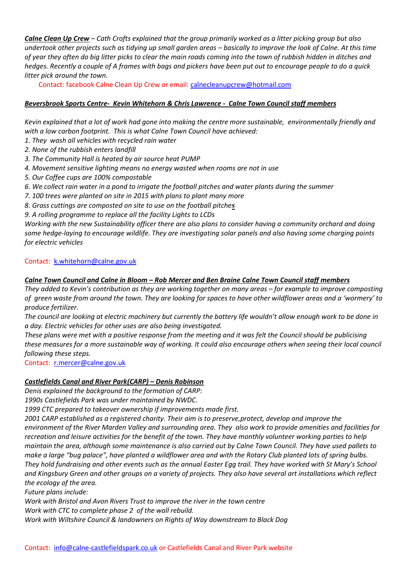*Calne Clean Up Crew – Cath Crofts explained that the group primarily worked as a litter picking group but also undertook other projects such as tidying up small garden areas – basically to improve the look of Calne. At this time of year they often do big litter picks to clear the main roads coming into the town of rubbish hidden in ditches and hedges. Recently a couple of A frames with bags and pickers have been put out to encourage people to do a quick litter pick around the town.*

Contact: facebook Calne Clean Up Crew or email: [calnecleanupcrew@hotmail.com](mailto:calnecleanupcrew@hotmail.com)

### *Beversbrook Sports Centre- Kevin Whitehorn & Chris Lawrence - Calne Town Council staff members*

*Kevin explained that a lot of work had gone into making the centre more sustainable, environmentally friendly and with a low carbon footprint. This is what Calne Town Council have achieved:* 

- *1. They wash all vehicles with recycled rain water*
- *2. None of the rubbish enters landfill*
- *3. The Community Hall is heated by air source heat PUMP*
- *4. Movement sensitive lighting means no energy wasted when rooms are not in use*
- *5. Our Coffee cups are 100% compostable*
- *6. We collect rain water in a pond to irrigate the football pitches and water plants during the summer*
- *7. 100 trees were planted on site in 2015 with plans to plant many more*
- *8. Grass cuttings are composted on site to use on the football pitches*
- *9. A rolling programme to replace all the facility Lights to LCDs*

*Working with the new Sustainability officer there are also plans to consider having a community orchard and doing some hedge-laying to encourage wildlife. They are investigating solar panels and also having some charging points for electric vehicles*

#### Contact: [k.whitehorn@calne.gov.uk](mailto:k.whitehorn@calne.gov.uk)

### *Calne Town Council and Calne in Bloom – Rob Mercer and Ben Braine Calne Town Council staff members*

*They added to Kevin's contribution as they are working together on many areas – for example to improve composting of green waste from around the town. They are looking for spaces to have other wildflower areas and a 'wormery' to produce fertilizer.* 

*The council are looking at electric machinery but currently the battery life wouldn't allow enough work to be done in a day. Electric vehicles for other uses are also being investigated.* 

*These plans were met with a positive response from the meeting and it was felt the Council should be publicising these measures for a more sustainable way of working. It could also encourage others when seeing their local council following these steps.* 

Contact: [r.mercer@calne.gov.uk](mailto:r.mercer@calne.gov.uk)

#### *Castlefields Canal and River Park(CARP) – Denis Robinson*

*Denis explained the background to the formation of CARP:*

*1990s Castlefields Park was under maintained by NWDC.*

*1999 CTC prepared to takeover ownership if improvements made first.*

*2001 CARP established as a registered charity. Their aim is to preserve,protect, develop and improve the environment of the River Marden Valley and surrounding area. They also work to provide amenities and facilities for recreation and leisure activities for the benefit of the town. They have monthly volunteer working parties to help maintain the area, although some maintenance is also carried out by Calne Town Council. They have used pallets to make a large "bug palace", have planted a wildflower area and with the Rotary Club planted lots of spring bulbs. They hold fundraising and other events such as the annual Easter Egg trail. They have worked with St Mary's School and Kingsbury Green and other groups on a variety of projects. They also have several art installations which reflect the ecology of the area.* 

*Future plans include:* 

*Work with Bristol and Avon Rivers Trust to improve the river in the town centre*

*Work with CTC to complete phase 2 of the wall rebuild.*

*Work with Wiltshire Council & landowners on Rights of Way downstream to Black Dog*